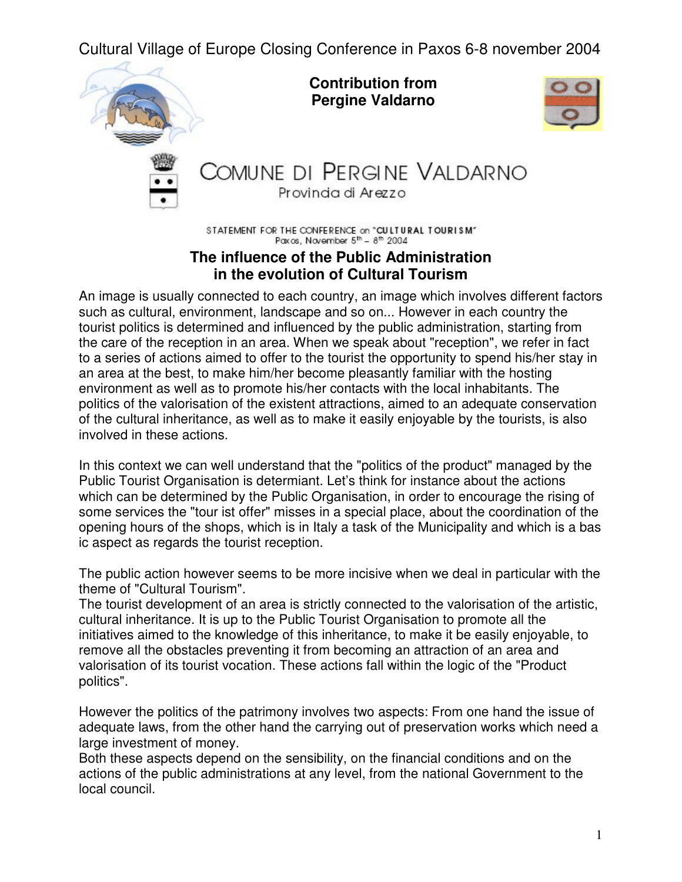Cultural Village of Europe Closing Conference in Paxos 6-8 november 2004



STATEMENT FOR THE CONFERENCE on "CULTURAL TOURISM"<br>Paxos, November 5<sup>th</sup> - 8<sup>th</sup> 2004

## **The influence of the Public Administration in the evolution of Cultural Tourism**

An image is usually connected to each country, an image which involves different factors such as cultural, environment, landscape and so on... However in each country the tourist politics is determined and influenced by the public administration, starting from the care of the reception in an area. When we speak about "reception", we refer in fact to a series of actions aimed to offer to the tourist the opportunity to spend his/her stay in an area at the best, to make him/her become pleasantly familiar with the hosting environment as well as to promote his/her contacts with the local inhabitants. The politics of the valorisation of the existent attractions, aimed to an adequate conservation of the cultural inheritance, as well as to make it easily enjoyable by the tourists, is also involved in these actions.

In this context we can well understand that the "politics of the product" managed by the Public Tourist Organisation is determiant. Let's think for instance about the actions which can be determined by the Public Organisation, in order to encourage the rising of some services the "tour ist offer" misses in a special place, about the coordination of the opening hours of the shops, which is in Italy a task of the Municipality and which is a bas ic aspect as regards the tourist reception.

The public action however seems to be more incisive when we deal in particular with the theme of "Cultural Tourism".

The tourist development of an area is strictly connected to the valorisation of the artistic, cultural inheritance. It is up to the Public Tourist Organisation to promote all the initiatives aimed to the knowledge of this inheritance, to make it be easily enjoyable, to remove all the obstacles preventing it from becoming an attraction of an area and valorisation of its tourist vocation. These actions fall within the logic of the "Product politics".

However the politics of the patrimony involves two aspects: From one hand the issue of adequate laws, from the other hand the carrying out of preservation works which need a large investment of money.

Both these aspects depend on the sensibility, on the financial conditions and on the actions of the public administrations at any level, from the national Government to the local council.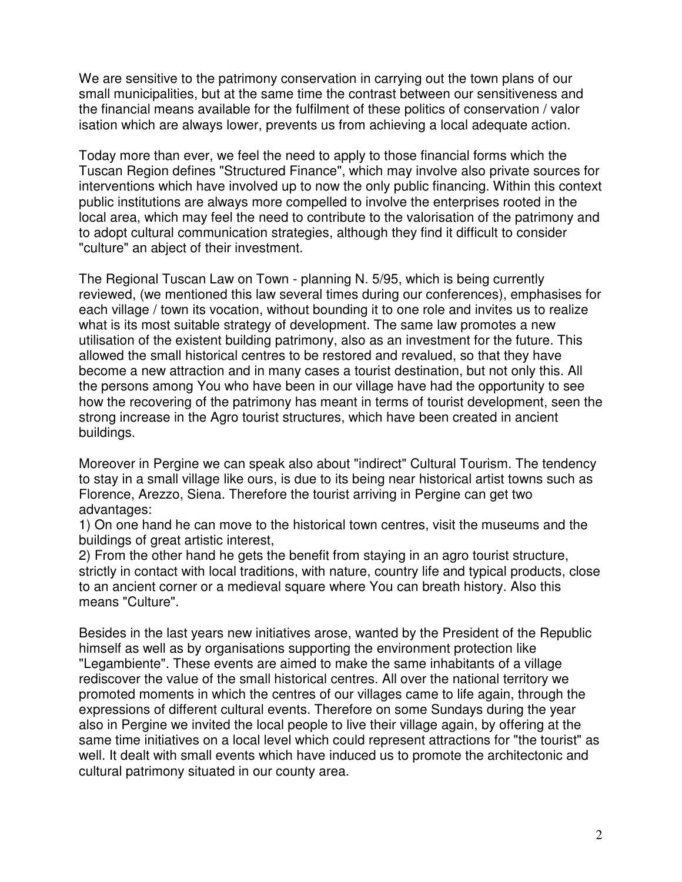We are sensitive to the patrimony conservation in carrying out the town plans of our small municipalities, but at the same time the contrast between our sensitiveness and the financial means available for the fulfilment of these politics of conservation / valor isation which are always lower, prevents us from achieving a local adequate action.

Today more than ever, we feel the need to apply to those financial forms which the Tuscan Region defines "Structured Finance", which may involve also private sources for interventions which have involved up to now the only public financing. Within this context public institutions are always more compelled to involve the enterprises rooted in the local area, which may feel the need to contribute to the valorisation of the patrimony and to adopt cultural communication strategies, although they find it difficult to consider "culture" an abject of their investment.

The Regional Tuscan Law on Town - planning N. 5/95, which is being currently reviewed, (we mentioned this law several times during our conferences), emphasises for each village / town its vocation, without bounding it to one role and invites us to realize what is its most suitable strategy of development. The same law promotes a new utilisation of the existent building patrimony, also as an investment for the future. This allowed the small historical centres to be restored and revalued, so that they have become a new attraction and in many cases a tourist destination, but not only this. All the persons among You who have been in our village have had the opportunity to see how the recovering of the patrimony has meant in terms of tourist development, seen the strong increase in the Agro tourist structures, which have been created in ancient buildings.

Moreover in Pergine we can speak also about "indirect" Cultural Tourism. The tendency to stay in a small village like ours, is due to its being near historical artist towns such as Florence, Arezzo, Siena. Therefore the tourist arriving in Pergine can get two advantages:

1) On one hand he can move to the historical town centres, visit the museums and the buildings of great artistic interest,

2) From the other hand he gets the benefit from staying in an agro tourist structure, strictly in contact with local traditions, with nature, country life and typical products, close to an ancient corner or a medieval square where You can breath history. Also this means "Culture".

Besides in the last years new initiatives arose, wanted by the President of the Republic himself as well as by organisations supporting the environment protection like "Legambiente". These events are aimed to make the same inhabitants of a village rediscover the value of the small historical centres. All over the national territory we promoted moments in which the centres of our villages came to life again, through the expressions of different cultural events. Therefore on some Sundays during the year also in Pergine we invited the local people to live their village again, by offering at the same time initiatives on a local level which could represent attractions for "the tourist" as well. It dealt with small events which have induced us to promote the architectonic and cultural patrimony situated in our county area.